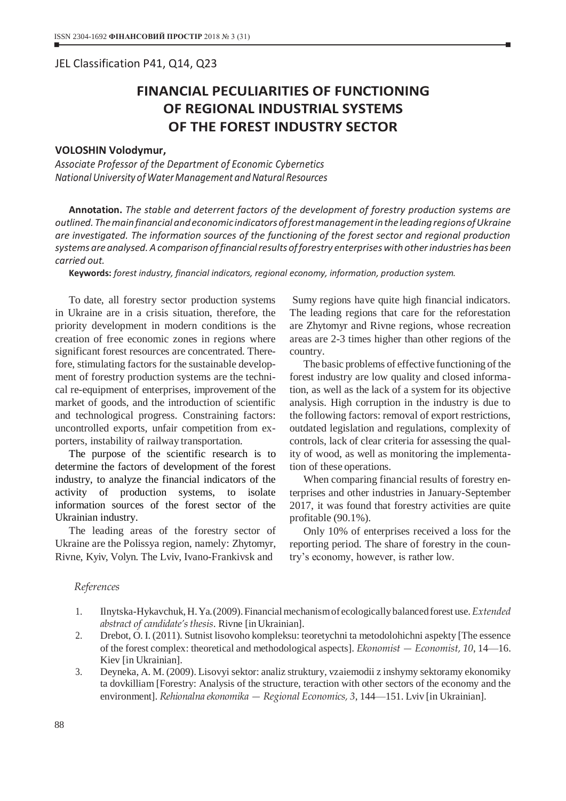## JEL Classіfіcatіon P41, Q14, Q23

## **FINANCIAL PECULIARITIES OF FUNCTIONING OF REGIONAL INDUSTRIAL SYSTEMS OF THE FOREST INDUSTRY SECTOR**

## **VOLOSHIN Volodymur,**

*Associate Professor of the Department of Economic Cybernetics National University of WaterManagement and Natural Resources*

**Annotation.** *The stable and deterrent factors of the development of forestry production systems are outlined. Themainfinancialandeconomic indicatorsofforestmanagementintheleadingregionsofUkraine are investigated. The information sources of the functioning of the forest sector and regional production systems are analysed.Acomparison offinancialresults offorestry enterpriseswith otherindustries has been carried out.*

**Keywords:** *forest industry, financial indicators, regional economy, information, production system.*

To date, all forestry sector production systems in Ukraine are in a crisis situation, therefore, the priority development in modern conditions is the creation of free economic zones in regions where significant forest resources are concentrated. Therefore, stimulating factors for the sustainable development of forestry production systems are the technical re-equipment of enterprises, improvement of the market of goods, and the introduction of scientific and technological progress. Constraining factors: uncontrolled exports, unfair competition from exporters, instability of railway transportation.

The purpose of the scientific research is to determine the factors of development of the forest industry, to analyze the financial indicators of the activity of production systems, to isolate information sources of the forest sector of the Ukrainian industry.

The leading areas of the forestry sector of Ukraine are the Polissya region, namely: Zhytomyr, Rivne, Kyiv, Volyn. The Lviv, Ivano-Frankivsk and

Sumy regions have quite high financial indicators. The leading regions that care for the reforestation are Zhytomyr and Rivne regions, whose recreation areas are 2-3 times higher than other regions of the country.

The basic problems of effective functioning of the forest industry are low quality and closed information, as well as the lack of a system for its objective analysis. High corruption in the industry is due to the following factors: removal of export restrictions, outdated legislation and regulations, complexity of controls, lack of clear criteria for assessing the quality of wood, as well as monitoring the implementation of these operations.

When comparing financial results of forestry enterprises and other industries in January-September 2017, it was found that forestry activities are quite profitable (90.1%).

Only 10% of enterprises received a loss for the reporting period. The share of forestry in the country's economy, however, is rather low.

## *References*

- 1. Ilnytska-Hykavchuk,H.Ya.(2009).Financialmechanismof ecologicallybalancedforest use.*Extended abstract of candidate's thesis*. Rivne [inUkrainian].
- 2. Drebot, O. I. (2011). Sutnist lisovoho kompleksu: teoretychni ta metodolohichni aspekty [The essence of the forest complex: theoretical and methodological aspects]. *Ekonomist — Economist, 10*, 14—16. Kiev [in Ukrainian].
- 3. Deyneka, A. M. (2009). Lisovyi sektor: analiz struktury, vzaiemodii z inshymy sektoramy ekonomiky ta dovkilliam [Forestry: Analysis of the structure, teraction with other sectors of the economy and the environment]. *Rehionalna ekonomika — Regional Economics, 3*, 144—151. Lviv [in Ukrainian].